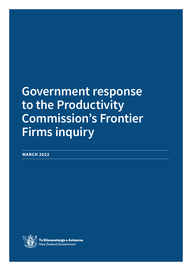# **Government response to the Productivity Commission's Frontier Firms inquiry**

**MARCH 2022**

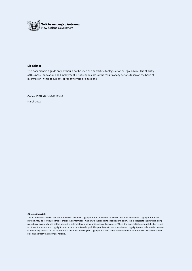

#### **Disclaimer**

This document is a guide only. It should not be used as a substitute for legislation or legal advice. The Ministry of Business, Innovation and Employment is not responsible for the results of any actions taken on the basis of information in this document, or for any errors or omissions.

Online: ISBN 978-1-99-102231-8 March 2022

#### **©Crown Copyright**

The material contained in this report is subject to Crown copyright protection unless otherwise indicated. The Crown copyright protected material may be reproduced free of charge in any format or media without requiring specific permission. This is subject to the material being reproduced accurately and not being used in a derogatory manner or in a misleading context. Where the material is being published or issued to others, the source and copyright status should be acknowledged. The permission to reproduce Crown copyright protected material does not extend to any material in this report that is identified as being the copyright of a third party. Authorisation to reproduce such material should be obtained from the copyright holders.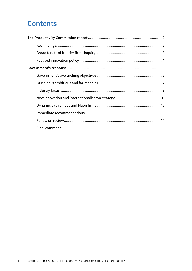# **Contents**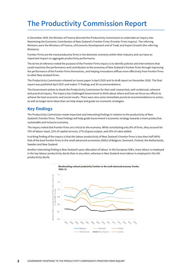# **The Productivity Commission Report**

In December 2019, the Minister of Finance directed the Productivity Commission to undertake an inquiry into Maximising the Economic Contribution of New Zealand's Frontier Firms (Frontier Firms inquiry). The referring Ministers were the Ministers of Finance, of Economic Development and of Trade and Export Growth (the referring Ministers).

Frontier Firms are the most productive firms in the domestic economy within their industry and can have an important impact on aggregate productivity performance.

The terms of reference noted the purpose of the Frontier Firms inquiry is to identify policies and interventions that could maximise the performance and contribution to the economy of New Zealand's frontier firms through improving the performance of the frontier firms themselves, and helping innovations diffuse more effectively from frontier firms to other New Zealand firms.

The Productivity Commission released an issues paper in April 2020 and its draft report on December 2020. The final report was published April 2021 and makes 71 findings and 30 recommendations.

The Government wishes to thank the Productivity Commission for their well-researched, well-evidenced, coherent and practical inquiry. The Inquiry has challenged Government to think about where and how we focus our efforts to achieve the best economic and social results. There were also some immediate practical recommendations to action, as well as longer-term ideas that can help shape and guide our economic strategies.

# **Key findings**

The Productivity Commission made important and interesting findings in relation to the productivity of New Zealand's frontier firms. These findings will help guide Government's economic strategy towards a more productive, sustainable and inclusive economy.

The inquiry noted that frontier firms are critical to the economy. While constituting only 8% of firms, they account for 13% of labour input, 22% of capital services, 27% of gross output, and 20% of value added.

A striking finding of the inquiry is that the labour productivity of New Zealand's frontier firms is less than half (45%) that of the best frontier firms in the small advanced economies (SAEs) of Belgium, Denmark, Finland, the Netherlands, Sweden and New Zealand.

Another interesting finding is New Zealand's poor allocation of labour. In the European SAEs, more labour is employed in the top labour-productivity decile than in any other, whereas in New Zealand more labour is employed in the 5th productivity decile.

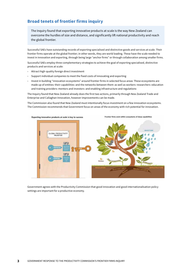# **Broad tenets of frontier firms inquiry**

The Inquiry found that exporting innovative products at scale is the way New Zealand can overcome the hurdles of size and distance, and significantly lift national productivity and reach the global frontier.

Successful SAEs have outstanding records of exporting specialised and distinctive goods and services at scale. Their frontier firms operate at the global frontier; in other words, they are world leading. These have the scale needed to invest in innovation and exporting, through being large "anchor firms" or through collaboration among smaller firms.

Successful SAEs employ three complementary strategies to achieve the goal of exporting specialised, distinctive products and services at scale:

- Attract high-quality foreign direct investment.
- › Support individual companies to meet the fixed costs of innovating and exporting.
- › Invest in building "innovation ecosystems" around frontier firms in selected focus areas. These ecosystems are made up of entities, their capabilities, and the networks between them, as well as workers, researchers, education and training providers<sup>,</sup> mentors and investors<sup>,</sup> and enabling infrastructure and regulations<sup>.</sup>

The Inquiry found that New Zealand already does the first two actions, primarily through New Zealand Trade and Enterprise and Callaghan Innovation, however improvements can be made.

The Commission also found that New Zealand must intentionally focus investment on a few innovation ecosystems. The Commission recommends that Government focus on areas of the economy with rich potential for innovation.



Government agrees with the Productivity Commission that good innovation and good internationalisation policy settings are important for a productive economy.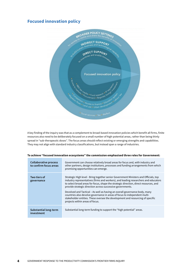# **Focused innovation policy**



A key finding of the inquiry was that as a complement to broad-based innovation policies which benefit all firms, finite resources also need to be deliberately focused on a small number of high-potential areas, rather than being thinly spread in "sub-therapeutic doses". The focus areas should reflect existing or emerging strengths and capabilities. They may not align with standard industry classifications, but instead span a range of industries.

| Collaborative process<br>to confirm focus areas | Government can choose relatively broad areas for focus and, with industry and<br>other partners, design institutions, processes and funding arrangements from which<br>promising opportunities can emerge.                                                                                                                                                                                                                                                                                                                                                                                                         |
|-------------------------------------------------|--------------------------------------------------------------------------------------------------------------------------------------------------------------------------------------------------------------------------------------------------------------------------------------------------------------------------------------------------------------------------------------------------------------------------------------------------------------------------------------------------------------------------------------------------------------------------------------------------------------------|
| Two tiers of<br>governance                      | Strategic High level - Bring together senior Government Ministers and Officials, top<br>industry representatives (firms and workers), and leading researchers and educators<br>to select broad areas for focus, shape the strategic direction, direct resources, and<br>provide strategic direction across successive governments.<br>Devolved and Tactical – As well as having an overall governance body, many<br>countries also devolve governance in areas of focus to independent multi-<br>stakeholder entities. These oversee the development and resourcing of specific<br>projects within areas of focus. |
| Substantial long-term<br>investment             | Substantial long-term funding to support the "high potential" areas.                                                                                                                                                                                                                                                                                                                                                                                                                                                                                                                                               |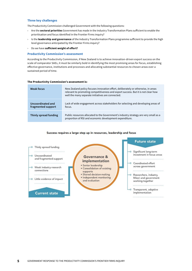#### **Three key challenges**

The Productivity Commission challenged Government with the following questions:

- › Are the **sectoral priorities** Government has made in the Industry Transformation Plans sufficient to enable the prioritisation and focus identified in the Frontier Firms inquiry?
- › Is the **leadership and governance** of the Industry Transformation Plans programme sufficient to provide the high level governance anticipated by the Frontier Firms inquiry?
- › Do we have **sufficient weight of effort?**

#### **Productivity Commission's assessment**

According to the Productivity Commission, if New Zealand is to achieve innovation-driven export success on the scale of comparator SAEs, it must be similarly bold in identifying the most promising areas for focus, establishing effective governance, institutions and processes and allocating substantial resources to chosen areas over a sustained period of time.

| Weak focus                              | New Zealand policy focuses innovation effort, deliberately or otherwise, in areas<br>relevant to promoting competitiveness and export success. But it is not clear how<br>well the many separate initiatives are connected. |
|-----------------------------------------|-----------------------------------------------------------------------------------------------------------------------------------------------------------------------------------------------------------------------------|
| Uncoordinated and<br>fragmented support | Lack of wide engagement across stakeholders for selecting and developing areas of<br>focus.                                                                                                                                 |
| Thinly spread funding                   | Public resources allocated to the Government's industry strategy are very small as a<br>proportion of RSI and economic development expenditure.                                                                             |

#### **The Productivity Commission's assessment is:**

#### Success requires a large step up in resources, leadership and focus

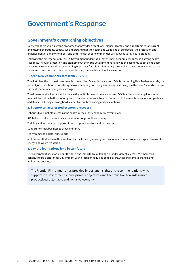# **Government's Response**

### **Government's overarching objectives**

New Zealanders value a strong economy that provides decent jobs, higher incomes, and opportunities for current and future generations. Equally, we understand that the health and wellbeing of our people, the protection and enhancement of our environment, and the strength of our communities will allow us to fulfil our potential.

Following the emergence of COVID-19 Government understood that the best economic response is a strong health response. Through protection and stamping out the virus Government has allowed the economy to get going again faster. Government has three overarching objectives for this Parliamentary term to help the economy bounce back faster and transition towards a more productive, sustainable and inclusive future:

#### **1. Keep New Zealanders safe from COVID-19**

The first objective of the Government is to keep New Zealanders safe from COVID. In keeping New Zealanders safe, we protect jobs, livelihoods, and strengthen our economy. A strong health response has given the New Zealand economy the best chance at coming back stronger.

The Government will retain and enhance the multiple lines of defence to keep COVID at bay and stamp it out with minimal disruption to the economy and to our everyday lives. We are committed to the maintenance of multiple lines of defence, including a strong border, effective contact tracing and vaccinations.

#### **2. Support an accelerated economic recovery**

Labour's five point plan remains the centre-piece of the economic recovery plan:

\$42 billion of infrastructure investment to future proof the economy

Training and job creation opportunities to support workers and businesses

Support for small business to grow and thrive

Programmes to bolster our exports

And policies that prepare New Zealand for the future by making the most of our competitive advantage in renewable energy and waste reduction.

#### **3. Lay the foundations for a better future**

The Government has marked out the need and importance of taking a broader view of success. Wellbeing will continue to be a priority for Government with a focus on reducing child poverty, tackling climate change, and addressing housing.

The Frontier Firms Inquiry has provided important insights and recommendations which support the Government's three primary objectives and the transition towards a more productive, sustainable and inclusive economy.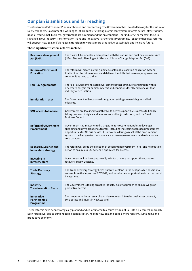# **Our plan is ambitious and far reaching**

The Government's Economic Plan is ambitious and far-reaching. The Government has invested heavily for the future of New Zealanders. Government is working to lift productivity through significant system reforms across infrastructure, people, trade, small business, government procurement and the environment. The "industry" or "sector" focus is signalled in our Industry Transformation Plans and Innovative Partnerships Programme. Together these key reforms will support New Zealand's long term transition towards a more productive, sustainable and inclusive future.

#### **These significant system reforms include:**

| <b>Resource Management</b><br>Act (RMA)               | The RMA will be repealed and replaced with the Natural and Built Environments Act<br>(NBA), Strategic Planning Act (SPA) and Climate Change Adaption Act (CAA).                                                                                                                                                                                        |
|-------------------------------------------------------|--------------------------------------------------------------------------------------------------------------------------------------------------------------------------------------------------------------------------------------------------------------------------------------------------------------------------------------------------------|
| <b>Reform of Vocational</b><br><b>Education</b>       | The reform will create a strong, unified, sustainable vocation education system<br>that is fit for the future of work and delivers the skills that learners, employers and<br>communities need to thrive.                                                                                                                                              |
| <b>Fair Pay Agreements</b>                            | The Fair Pay Agreement system will bring together employers and unions within<br>a sector to bargain for minimum terms and conditions for all employees in that<br>industry of occupation.                                                                                                                                                             |
| <b>Immigration reset</b>                              | The Government will rebalance immigration settings towards higher-skilled<br>migrants.                                                                                                                                                                                                                                                                 |
| <b>SME access to finance</b>                          | Government are looking into pathways to better support SME's access to finance,<br>taking on-board insights and lessons from other jurisdictions, and the Small<br><b>Business Council.</b>                                                                                                                                                            |
| <b>Reform of Government</b><br>Procurement            | Government has implemented changes to its Procurement Rules to leverage<br>spending and drive broader outcomes, including increasing access to procurement<br>opportunities for NZ businesses. It is also considering a reset of the procurement<br>system to deliver greater transparency, and cross-government standardisation and<br>collaboration. |
| Research, Science and<br><b>Innovation strategy</b>   | The reform will guide the direction of government investment in RSI and help us take<br>action to ensure our RSI system is optimised for success.                                                                                                                                                                                                      |
| Investing in<br>infrastructure                        | Government will be investing heavily in infrastructure to support the economic<br>recovery of New Zealand.                                                                                                                                                                                                                                             |
| <b>Trade Recovery</b><br><b>Strategy</b>              | The Trade Recovery Strategy helps put New Zealand in the best possible position to<br>recover from the impacts of COVID-19, and to seize new opportunities for exports and<br>investment.                                                                                                                                                              |
| Industry<br><b>Transformation Plans</b>               | The Government is taking an active industry policy approach to ensure we grow<br>productive sectors.                                                                                                                                                                                                                                                   |
| <b>Innovative</b><br><b>Partnerships</b><br>Programme | The programme helps research and development intensive businesses connect,<br>collaborate and invest in New Zealand.                                                                                                                                                                                                                                   |

These reforms have been strategically planned and co-ordinated to ensure we do not fall into a piecemeal approach. Each reform will add to our long term economic plan, helping New Zealand build a more resilient, sustainable and productive economy.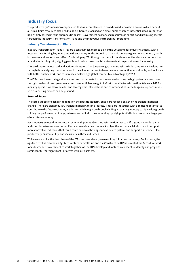# **Industry focus**

The productivity Commission emphasised that as a complement to broad-based innovation policies which benefit all firms, finite resources also need to be deliberately focused on a small number of high-potential areas, rather than being thinly spread in "sub-therapeutic doses". Government has focused resources in specific and promising sectors through the Industry Transformation Plans and the Innovative Partnerships Programme.

#### **Industry Transformation Plans**

Industry Transformation Plans (ITPs) are a central mechanism to deliver the Government's Industry Strategy, with a focus on transforming key industries in the economy for the future in partnership between government, industry (both businesses and workers) and Māori. Co-developing ITPs through partnership builds a collective vision and actions that all stakeholders buy into, aligning people and their business decisions to create stronger outcomes for industry.

ITPs are long-term focussed and action-orientated. The long-term goal is to transform industries in New Zealand, and through this catalysing transformation in the wider economy, to become more productive, sustainable, and inclusive, with better quality work, and to increase and leverage global competitive advantage by 2050.

The ITPs have been strategically selected and co-ordinated to ensure we are focusing on high potential areas, have the right leadership and governance, and have sufficient weight of effort to enable transformation. While each ITP is industry specific, we also consider and leverage the intersections and commonalities in challenges or opportunities so cross-cutting actions can be pursued.

#### **Areas of Focus**

The core purpose of each ITP depends on the specific industry, but all are focused on achieving transformational change. There are eight Industry Transformation Plans in progress. These are industries with significant potential to contribute to the future economy we desire, which might be through shifting an existing industry to high value growth, shifting the performance of large, interconnected industries, or scaling up high potential industries to be a larger part of our future economy.

Each industry selected represents a sector with potential for a transformation that can lift aggregate productivity and contribute towards a more resilient and sustainable economy. An objective across each industry is to support more innovative industries that could contribute to a thriving innovation ecosystem, and support a sustained lift in productivity, sustainability, and inclusivity in these industries.

While we are still in the first phase of the ITPs, we have already seen exciting initiatives underway. For instance, the Agritech ITP has created an Agritech Venture Capital Fund and the Construction ITP has created the Accord Network for industry and Government to work together. As the ITPs develop and mature, we expect to identify and progress significant further significant initiatives with our partners.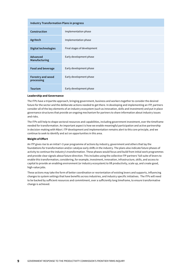| <b>Industry Transformation Plans in progress</b> |                             |  |  |
|--------------------------------------------------|-----------------------------|--|--|
| Construction                                     | Implementation phase        |  |  |
| Agritech                                         | Implementation phase        |  |  |
| <b>Digital technologies</b>                      | Final stages of development |  |  |
| Advanced<br>Manufacturing                        | Early development phase     |  |  |
| Food and beverage                                | Early development phase     |  |  |
| Forestry and wood<br>processing                  | Early development phase     |  |  |
| <b>Tourism</b>                                   | Early development phase     |  |  |

#### **Leadership and Governance**

The ITPs have a tripartite approach, bringing government, business and workers together to consider the desired future for the sector and the deliberate actions needed to get there. In developing and implementing an ITP, partners consider all of the key elements of an industry ecosystem (such as innovation, skills and investment) and put in place governance structures that provide an ongoing mechanism for partners to share information about industry issues and risks.

The ITPs will help to shape sectoral resources and capabilities, including government investment, over the timeframe needed for transformation. An important aspect is how we enable meaningful participation and active partnership in decision-making with Māori. ITP development and implementation remains alert to this core principle, and we continue to seek to identify and act on opportunities in this area.

#### **Weight of Effort**

An ITP gives rise to an initial 1-3 year programme of actions by industry, government and others that lay the foundations for transformation and/or catalyse early shifts in the industry. The plans also indicate future phases of activity to continue the industry's transformation. These phases would focus and build from initial work programmes and provide clear signals about future direction. This includes using the collective ITP partners' full suite of levers to enable this transformation, considering, for example, investment, innovation, infrastructure, skills, and access to capital to provide an enabling environment (or industry ecosystem) to lift productivity, scale up, and create good, high-value jobs.

These actions may take the form of better coordination or reorientation of existing levers and supports, influencing changes to system settings that have benefits across industries, and industry specific initiatives. The ITPs will need to be backed by sufficient resources and commitment, over a sufficiently long timeframe, to ensure transformative change is achieved.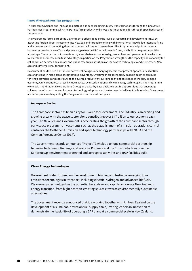#### **Innovative partnerships programme**

The Research, Science and Innovation portfolio has been leading industry transformations through the Innovative Partnerships Programme, which helps raise firm productivity by focusing innovation effort through specified areas of the economy.

The Programme forms part of the Government's efforts to raise the levels of research and development (R&D) by attracting foreign direct investment into New Zealand through working with international knowledge-intensive firms and innovators and connecting them with domestic firms and researchers. This Programme helps international businesses develop a New Zealand presence, partner on R&D with domestic firms, and build a unique competitive advantage. These partnerships create ecosystems between our industry, researchers and government on which our New Zealand businesses can take advantage. In particular, the Programme strengthens the capacity and capability for collaboration between businesses and public research institutions on innovative technologies and strengthens New Zealand's international connections.

Government has focused on transformative technologies or emerging sectors that present opportunities for New Zealand to lead in niche areas of competitive advantage. Overtime these technology based industries can build thriving ecosystems and contribute to the overall productivity, sustainability and resilience of the New Zealand economy. Our current focus areas include space, advanced aviation and clean energy technologies. The Programme works with multinational corporations (MNCs) on a case-by-case basis to identify opportunities that encourage spillover benefits, such as employment, technology adoption and development of adjacent technologies. Government are in the process of expanding the Programme over the next two years.

#### **Aerospace Sector**

The Aerospace sector has been a key focus area for Government. The industry is an exciting and growing area, with the space sector alone contributing over \$1.7 billion to our economy each year. The New Zealand Government is accelerating the growth of the aerospace sector through early space programme investments such as the establishment of a mission operations control centre for the MethaneSAT mission and space technology partnerships with NASA and the German Aerospace Center (DLR).

The Government recently announced 'Project Tāwhaki', a unique commercial partnership between Te Taumutu Rūnanga and Wairewa Rūnanga and the Crown, which will see the Kaitōrete Spit environment protected and aerospace activities and R&D facilities built.

#### **Clean Energy Technologies**

Government is also focused on the development, trialling and testing of emerging lowemissions technologies in transport, including electric, hydrogen and advanced biofuels. Clean energy technology has the potential to catalyse and rapidly accelerate New Zealand's energy transition, from higher carbon-emitting sources towards environmentally sustainable alternatives.

The government recently announced that it is working together with Air New Zealand on the development of a sustainable aviation fuel supply chain, inviting leaders in innovation to demonstrate the feasibility of operating a SAF plant at a commercial scale in New Zealand.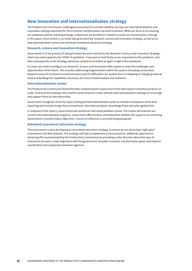# **New innovation and internationalisaton strategy**

The Productivity Commission challenged Government to consider whether we have our internationalisation and innovation settings optimised for the economic transformation we wish to achieve. While our focus is on ensuring our ambitious and far-reaching strategy is delivered, we do think it is timely to review our current policy settings in this space. Government is currently taking forward the research, science and innovation strategy, as well as an internationalisation review and refreshed investment attraction strategy.

#### **Research, science and innovation strategy**

Government is in the process of taking forward the work started by the Research, Science and Innovation Strategy, which was interrupted by the COVID-19 pandemic. It was put on hold firstly as we responded to the pandemic, and then subsequently as the Strategy obviously needed to be looked at again in light of the pandemic.

It is clear we need to configure our Research, Science and Innovation (RSI) system to meet the challenges and opportunities of the future. This includes addressing fragmentation within the system (including connections between research institutions and businesses) and the difficulties our system faces in adapting to changing national need and building the capabilities necessary for future transformation and resilience.

#### **Internationalisation review**

The Productivity Commission found that New Zealand needs to grow more firms that export innovative products at scale. Central to this finding is the need for Government to create optimal internationalisation settings to encourage and support firms to internationalise.

Government recognises from the inquiry that good internationalisation policies should encompasses more than exporting and include foreign direct investment, international labour, knowledge flows and other global links.

In response to the Inquiry, Government has started an internationalisation review. The review will examine our current internationalisation supports, assess their effectiveness, and determine whether the supports are achieving Government's transformative objectives. A terms of reference is currently being prepared.

#### **Refreshed investment attraction strategy**

The Government is also developing an investment attraction strategy, to ensure we are attracting "high value" investments into New Zealand. The strategy will help to implement a more proactive, deliberate approach to attracting FDI recommended by the Productivity Commission by providing a clear direction about the type of investment we want, create alignment with the government's broader economic transformation goals and improve coordination and cooperation between agencies.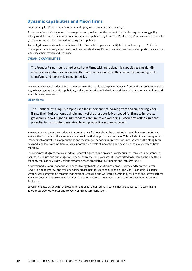# **Dynamic capabilities and Māori firms**

Underpinning the Productivity Commission's Inquiry were two important messages:

Firstly, creating a thriving innovation ecosystem and pushing out the productivity frontier requires strong policy settings and it requires the development of dynamic capabilities by firms. The Productivity Commission sees a role for government support for firms in developing this capability.

Secondly, Government can learn a lot from Māori firms which operate a "multiple bottom line approach". It is also critical government recognises the distinct needs and values of Māori Firms to ensure they are supported in a way that maximises their growth and resilience.

#### **DYNAMIC CAPABILITIES**

The Frontier Firms inquiry emphasised that Firms with more dynamic capabilities can identify areas of competitive advantage and then seize opportunities in these areas by innovating while identifying and effectively managing risks.

Government agrees that dynamic capabilities are critical to lifting the performance of frontier firms. Government has begun investigating dynamic capabilities, looking at the effect of individuals and firms with dynamic capabilities and how it is being measured.

#### **Māori firms**

The Frontier Firms inquiry emphasised the importance of learning from and supporting Māori firms. The Māori economy exhibits many of the characteristics needed for firms to innovate, grow and support higher living standards and improved wellbeing. Māori firms offer significant potential to contribute to sustainable and productive economic growth.

Government welcomes the Productivity Commission's findings about the contribution Māori business models can make at the frontier and the lessons we can take from their approach and success. This includes the advantages from embedding Māori values in organisations and focussing on serving multiple bottom lines, as well as their long-term view and high levels of ambition, which support higher levels of innovation and exporting than New Zealand firms generally.

The Government agrees that we need to support the growth and prosperity of Māori firms, through understanding their needs, values and our obligations under the Treaty. The Government is committed to building a thriving Māori economy that can drive New Zealand towards a more productive, sustainable and inclusive future.

We developed a Māori Economic Resilience Strategy to help reposition Aotearoa New Zealand for recovery from COVID-19, and to improve the resilience of Māori against future economic shocks. The Māori Economic Resilience Strategy work programme recommends effort across: skills and workforce; community resilience and infrastructure; and enterprise. Te Puni Kōkiri will monitor a set of indicators across these work streams to track Māori Economic Resilience.

Government also agrees with the recommendation for a Hui Taumata, which must be delivered in a careful and appropriate way. We will continue to work on this recommendation.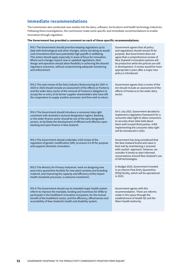# **Immediate recommendations**

The Commission also conducted case studies into the dairy, software, horticulture and health technology industries. Following these investigations, the commission made some specific and immediate recommendations to enable innovation through regulation.

#### **The Government has provided a comment on each of these specific recommendations:**

| R10.1 The Government should prioritise keeping regulations up to<br>date with technological and other changes, where not doing so would<br>curb innovations that have potentially high payoffs in wellbeing.<br>This action should apply especially in areas of focus for innovation.<br>Where such changes require new or updated regulations, their<br>design and operation should allow flexibility in achieving the desired<br>regulatory outcomes, without compromising adequate monitoring<br>and enforcement. | Government agrees that all policy<br>and regulations should remain fit for<br>purpose. But Government does not<br>agree that a comprehensive review of<br>New Zealand's innovation policies will<br>be productive while the policies are still<br>in development. A review would be more<br>appropriate 5 years after a major new<br>policy is introduced. |
|----------------------------------------------------------------------------------------------------------------------------------------------------------------------------------------------------------------------------------------------------------------------------------------------------------------------------------------------------------------------------------------------------------------------------------------------------------------------------------------------------------------------|------------------------------------------------------------------------------------------------------------------------------------------------------------------------------------------------------------------------------------------------------------------------------------------------------------------------------------------------------------|
| R10.2 The next review of the Dairy Industry Restructuring Act 2001 in<br>2024 or 2025 should include an assessment of the effects on Fonterra<br>and the wider dairy sector of the removal of Fonterra's obligation to<br>accept the re-entry of its farmer supplier-shareholders who have left<br>the cooperative to supply another processor and then wish to return.                                                                                                                                              | Government agrees that a review of the<br>Act should include an assessment of the<br>effects of Fonterra on the wider dairy<br>sector.                                                                                                                                                                                                                     |
| R10.3 The Government should introduce a consumer data right<br>consistent with Australia's sectoral-designation regime. Banking<br>or the wider finance sector should be one of the early designated<br>sectors, to facilitate the development of efficient and effective open<br>banking and open finance in New Zealand.                                                                                                                                                                                           | On 5 July 2021, Government decided to<br>implement a legislative framework for a<br>consumer data right to allow consumers<br>to securely share data held about<br>them with trusted third parties. A Bill<br>implementing the consumer data right<br>will be introduced in 2022.                                                                          |
| R10.4 The Government should undertake a full review of the<br>regulation of genetic modification (GM), to ensure it is fit for purpose<br>and supports domestic innovation.                                                                                                                                                                                                                                                                                                                                          | Government has long considered that<br>the New Zealand brand and value is<br>best met by maintaining a 'proceed<br>with caution' approach. However, we<br>consider it timely to start informed<br>conversations around New Zealand's use<br>of GM technologies.                                                                                            |
| R10.5 The Ministry for Primary Industries' work on designing new<br>post-entry quarantine facilities for new plant varieties and breeding<br>material, and improving the capacity and efficiency of the import<br>health standards processes, is welcome investment.                                                                                                                                                                                                                                                 | In Budget 2020, Government invested<br>in an Interim Post-Entry Quarantine<br>(PEQ) facility, which will be operational<br>in 2023.                                                                                                                                                                                                                        |
| R10.6 The Government should use its intended major health system<br>reform to improve the mandate, funding and incentives for DHBs to<br>participate in the healthtech innovation ecosystem, for the mutual<br>benefit of the healthtech sector, and the efficiency, effectiveness and<br>accessibility of New Zealand's health and disability system.                                                                                                                                                               | Government agrees with this<br>recommendation. There are reforms<br>made in this space through the<br>establishment of Health NZ and the<br>Māori Health Authority.                                                                                                                                                                                        |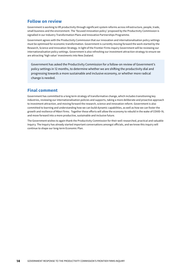### **Follow on review**

Government is working to lift productivity through significant system reforms across infrastructure, people, trade, small business and the environment. The 'focused innovation policy' proposed by the Productivity Commission is signalled in our Industry Transformation Plans and Innovative Partnerships Programme.

Government agrees with the Productivity Commission that our innovation and internationalisation policy settings must be optimised for economic transformation. Government is currently moving forward the work started by the Research, Science and Innovation Strategy. In light of the Frontier Firms inquiry Government will be reviewing our internationalisation policy settings. Government is also refreshing our investment attraction strategy to ensure we are attracting 'high value' investments into New Zealand.

Government has asked the Productivity Commission for a follow-on review of Government's policy settings in 12 months, to determine whether we are shifting the productivity dial and progressing towards a more sustainable and inclusive economy, or whether more radical change is needed.

### **Final comment**

Government has committed to a long term strategy of transformative change, which includes transitioning key industries, reviewing our internationalisation policies and supports, taking a more deliberate and proactive approach to investment attraction, and moving forward the research, science and innovation reform. Government is also committed to learning and understanding how we can build dynamic capabilities, as well as how we can foster the growth and resilience of Māori firms. Together these efforts will allow the economy to rebuild in the wake of COVID-19, and move forward into a more productive, sustainable and inclusive future.

The Government wishes to again thank the Productivity Commission for their well-researched, practical and valuable Inquiry. The Inquiry has already started important conversations amongst officials, and we know this inquiry will continue to shape our long-term Economic Plan.